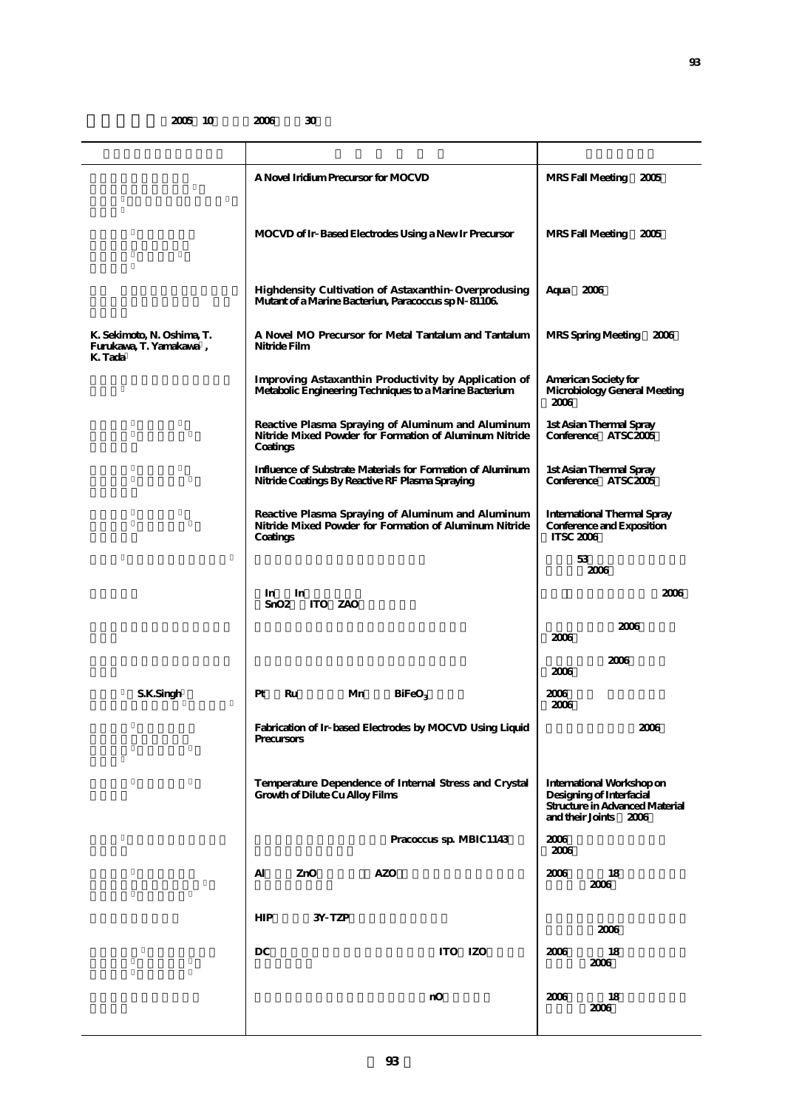## **2005 10 2006 30**

| K. Sekimoto, N. Oshima, T.<br>Furukawa, T. Yamakawa,<br>K. Tada | A Novel Iridium Precursor for MOCVD                                                                                     | MRS Fall Meeting 2005                                                                                            |  |  |
|-----------------------------------------------------------------|-------------------------------------------------------------------------------------------------------------------------|------------------------------------------------------------------------------------------------------------------|--|--|
|                                                                 | MOCVD of Ir Based Electrodes Using a New Ir Precursor                                                                   | MRS Fall Meeting<br>2005                                                                                         |  |  |
|                                                                 | Highdensity Cultivation of Astaxanthin Overprodusing<br>Mutant of a Marine Bacteriun, Paracoccus sp N 81106             | Aqua 2006                                                                                                        |  |  |
|                                                                 | A Novel MO Precursor for Metal Tantalum and Tantalum<br>Nitride Film                                                    | MRS Spring Meeting<br>2006                                                                                       |  |  |
|                                                                 | Improving Astaxanthin Productivity by Application of<br>Metabolic Engineering Techniques to a Marine Bacterium          | American Society for<br>Microbiology General Meeting<br>2006                                                     |  |  |
|                                                                 | Reactive Plasma Spraying of Aluminum and Aluminum<br>Nitride Mixed Powder for Formation of Aluminum Nitride<br>Coatings | 1st Asian Thermal Spray<br>Conference ATSC2005                                                                   |  |  |
|                                                                 | Influence of Substrate Materials for Formation of Aluminum<br>Nitride Coatings By Reactive RF Plasma Spraying           | 1st Asian Thermal Spray<br>Conference ATSC2005                                                                   |  |  |
|                                                                 | Reactive Plasma Spraying of Aluminum and Aluminum<br>Nitride Mixed Powder for Formation of Aluminum Nitride<br>Coatings | <b>International Thermal Spray</b><br>Conference and Exposition<br><b>ITSC 2006</b>                              |  |  |
|                                                                 |                                                                                                                         | 53<br>2006                                                                                                       |  |  |
|                                                                 | In<br>In<br>ITO ZAO<br>SnO2                                                                                             | 2006                                                                                                             |  |  |
|                                                                 |                                                                                                                         | 2006<br>2006                                                                                                     |  |  |
|                                                                 |                                                                                                                         | 2006<br>2006                                                                                                     |  |  |
| S.K.Singh                                                       | Pt<br>Ru<br>Mn<br>BiFeO <sub>3</sub>                                                                                    | 2006<br>2006                                                                                                     |  |  |
|                                                                 | Fabrication of Ir based Electrodes by MOCVD Using Liquid<br>Precursors                                                  | 2006                                                                                                             |  |  |
|                                                                 | Temperature Dependence of Internal Stress and Crystal<br>Growth of Dilute Cu Alloy Films                                | International Workshop on<br>Designing of Interfacial<br>Structure in Advanced Material<br>and their Joints 2006 |  |  |
|                                                                 | Pracoccus sp. MBIC1143                                                                                                  | 2006<br>2006                                                                                                     |  |  |
|                                                                 | <b>AZO</b><br>Al<br>ZnO                                                                                                 | 2006<br>18<br>2006                                                                                               |  |  |
|                                                                 | HIP<br>3Y TZP                                                                                                           |                                                                                                                  |  |  |
|                                                                 | DC<br>ITO IZO                                                                                                           | 2006<br>2006<br>18                                                                                               |  |  |
|                                                                 |                                                                                                                         | 2006                                                                                                             |  |  |
|                                                                 |                                                                                                                         |                                                                                                                  |  |  |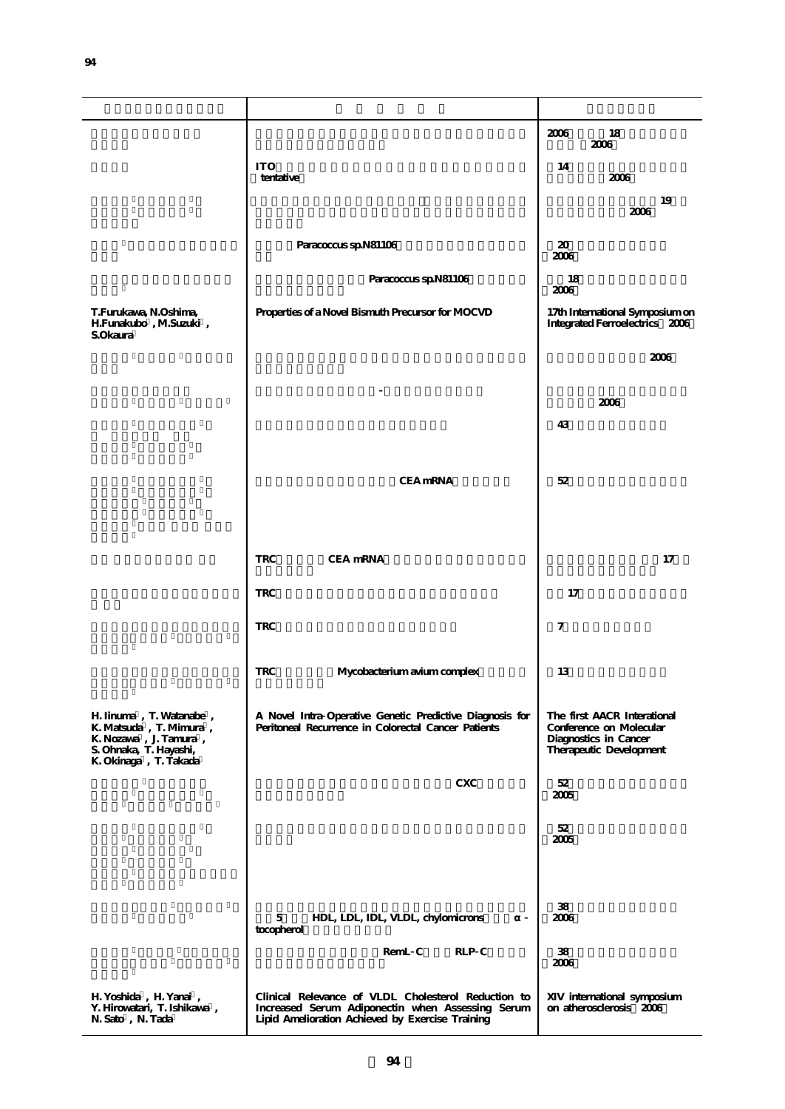|                                                                                                                               |                                                                                                                                                             | 2006<br>18<br>2006                                                                                         |
|-------------------------------------------------------------------------------------------------------------------------------|-------------------------------------------------------------------------------------------------------------------------------------------------------------|------------------------------------------------------------------------------------------------------------|
|                                                                                                                               | <b>ITO</b><br>tentative                                                                                                                                     | 14<br>2006                                                                                                 |
|                                                                                                                               |                                                                                                                                                             | 19<br>2006                                                                                                 |
|                                                                                                                               | Paracoccus sp.N81106                                                                                                                                        | 20<br>2006                                                                                                 |
| T.Furukawa, N.Oshima,<br>H.Funakubo, M.Suzuki,<br>S.Okaura                                                                    | Paracoccus sp.N81106                                                                                                                                        | 18<br>2006                                                                                                 |
|                                                                                                                               | Properties of a Novel Bismuth Precursor for MOCVD                                                                                                           | 17th International Symposium on<br>Integrated Ferroelectrics 2006                                          |
|                                                                                                                               |                                                                                                                                                             | 2006                                                                                                       |
|                                                                                                                               |                                                                                                                                                             | 2006                                                                                                       |
|                                                                                                                               |                                                                                                                                                             | 43                                                                                                         |
|                                                                                                                               | <b>CEA</b> mRNA                                                                                                                                             | 52                                                                                                         |
|                                                                                                                               |                                                                                                                                                             |                                                                                                            |
|                                                                                                                               | CEA mRNA<br><b>TRC</b>                                                                                                                                      | 17                                                                                                         |
|                                                                                                                               |                                                                                                                                                             |                                                                                                            |
|                                                                                                                               | <b>TRC</b><br><b>TRC</b>                                                                                                                                    | 17<br>7                                                                                                    |
|                                                                                                                               |                                                                                                                                                             |                                                                                                            |
|                                                                                                                               | <b>TRC</b><br>Mycobacterium avium complex                                                                                                                   | 13                                                                                                         |
| H. Iinuma, T. Watanabe,<br>K. Matsuda, T. Mimura,<br>K. Nozawa, J. Tamura,<br>S. Ohnaka, T. Hayashi,<br>K. Okinaga, T. Takada | A Novel Intra Operative Genetic Predictive Diagnosis for<br>Peritoneal Recurrence in Colorectal Cancer Patients                                             | The first AACR Interational<br>Conference on Molecular<br>Diagnostics in Cancer<br>Therapeutic Development |
|                                                                                                                               | <b>CXC</b>                                                                                                                                                  | 52<br>2005                                                                                                 |
|                                                                                                                               |                                                                                                                                                             | 52<br>2005                                                                                                 |
|                                                                                                                               |                                                                                                                                                             |                                                                                                            |
|                                                                                                                               | 5<br>HDL, LDL, IDL, VLDL, chylomicrons<br>tocopherol                                                                                                        | 38<br>2006                                                                                                 |
|                                                                                                                               | RemL C<br>RLP C                                                                                                                                             | 38<br>2006                                                                                                 |
| H. Yoshida, H. Yanai,<br>Y. Hirowatari, T. Ishikawa,<br>N. Sato, N. Tada                                                      | Clinical Relevance of VLDL Cholesterol Reduction to<br>Increased Serum Adiponectin when Assessing Serum<br>Lipid Amelioration Achieved by Exercise Training | XIV international symposium<br>on atherosclerosis 2006                                                     |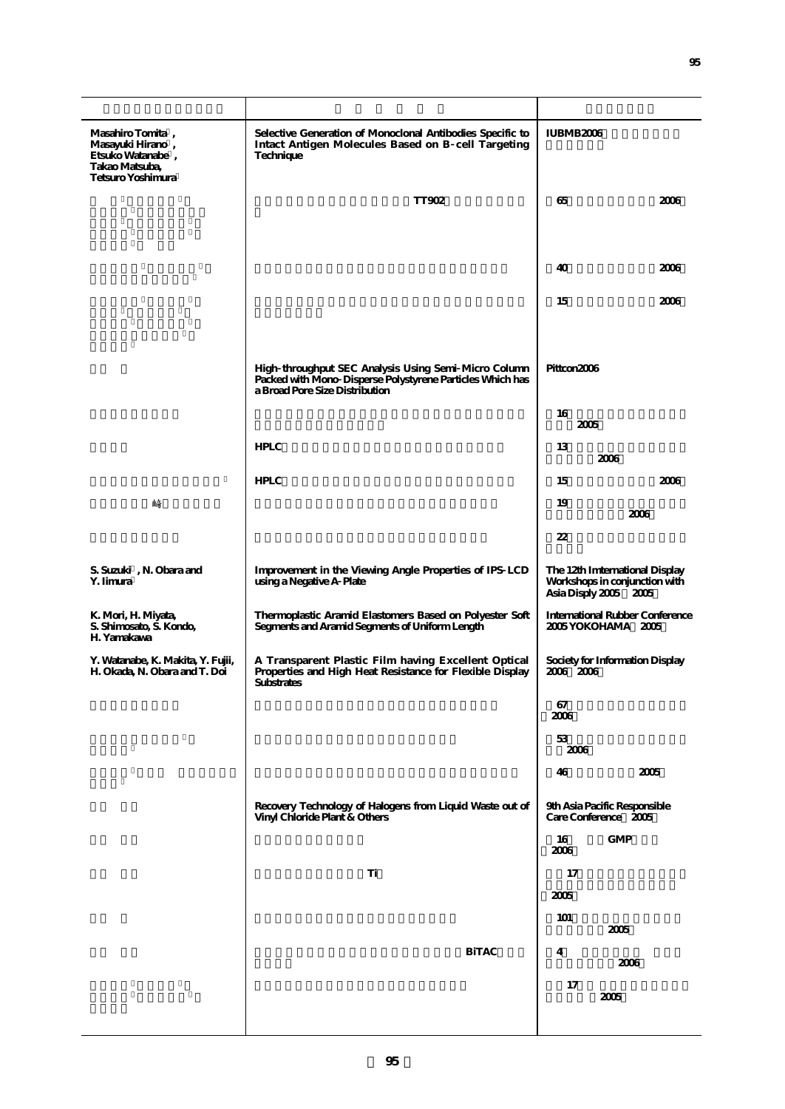| Masahiro Tomita,<br>Masayuki Hirano,<br>Etsuko Watanabe,<br>Takao Matsuba,<br>Tetsuro Yoshimura | Selective Generation of Monoclonal Antibodies Specific to<br>Intact Antigen Molecules Based on B cell Targeting<br>Technique                        | <b>IUBMB2006</b>                                                                         |  |  |
|-------------------------------------------------------------------------------------------------|-----------------------------------------------------------------------------------------------------------------------------------------------------|------------------------------------------------------------------------------------------|--|--|
|                                                                                                 | <b>TT902</b>                                                                                                                                        | 65<br>2006                                                                               |  |  |
|                                                                                                 |                                                                                                                                                     |                                                                                          |  |  |
|                                                                                                 |                                                                                                                                                     | 40<br>2006                                                                               |  |  |
|                                                                                                 |                                                                                                                                                     | 15<br>2006                                                                               |  |  |
|                                                                                                 | High throughput SEC Analysis Using Semi Micro Column<br>Packed with Mono Disperse Polystyrene Particles Which has<br>a Broad Pore Size Distribution | Pittcon2006                                                                              |  |  |
|                                                                                                 |                                                                                                                                                     | 16<br>2005                                                                               |  |  |
|                                                                                                 | <b>HPLC</b>                                                                                                                                         | 13<br>2006                                                                               |  |  |
|                                                                                                 | <b>HPLC</b>                                                                                                                                         | 2006<br>15                                                                               |  |  |
| 崎                                                                                               |                                                                                                                                                     | 19<br>2006                                                                               |  |  |
|                                                                                                 |                                                                                                                                                     | 22                                                                                       |  |  |
| S. Suzuki, N. Obara and<br>Y. Iimura                                                            | Improvement in the Viewing Angle Properties of IPS LCD<br>using a Negative A Plate                                                                  | The 12th Imternational Display<br>Workshops in conjunction with<br>Asia Disply 2005 2005 |  |  |
| K. Mori, H. Miyata,<br>S. Shimosato, S. Kondo,<br>H. Yamakawa                                   | Thermoplastic Aramid Elastomers Based on Polyester Soft<br>Segments and Aramid Segments of Uniform Length                                           | <b>International Rubber Conference</b><br>2005 YOKOHAMA 2005                             |  |  |
| Y. Watanabe, K. Makita, Y. Fujii,<br>H. Okada, N. Obara and T. Doi                              | A Transparent Plastic Film having Excellent Optical<br>Properties and High Heat Resistance for Flexible Display<br>Substrates                       | Society for Information Display<br>2006 2006                                             |  |  |
|                                                                                                 |                                                                                                                                                     | 67<br>2006                                                                               |  |  |
|                                                                                                 |                                                                                                                                                     | 53<br>2006                                                                               |  |  |
|                                                                                                 |                                                                                                                                                     | 2005<br>46                                                                               |  |  |
|                                                                                                 | Recovery Technology of Halogens from Liquid Waste out of<br>Vinyl Chloride Plant & Others                                                           | 9th Asia Pacific Responsible<br>Care Conference 2005                                     |  |  |
|                                                                                                 |                                                                                                                                                     | GMP<br>16<br>2006                                                                        |  |  |
|                                                                                                 | Ti                                                                                                                                                  | 17                                                                                       |  |  |
|                                                                                                 |                                                                                                                                                     | 2005                                                                                     |  |  |
|                                                                                                 |                                                                                                                                                     | 101<br>2005                                                                              |  |  |
|                                                                                                 | <b>BiTAC</b>                                                                                                                                        | 4<br>2006<br>17<br>2005                                                                  |  |  |
|                                                                                                 |                                                                                                                                                     |                                                                                          |  |  |
|                                                                                                 |                                                                                                                                                     |                                                                                          |  |  |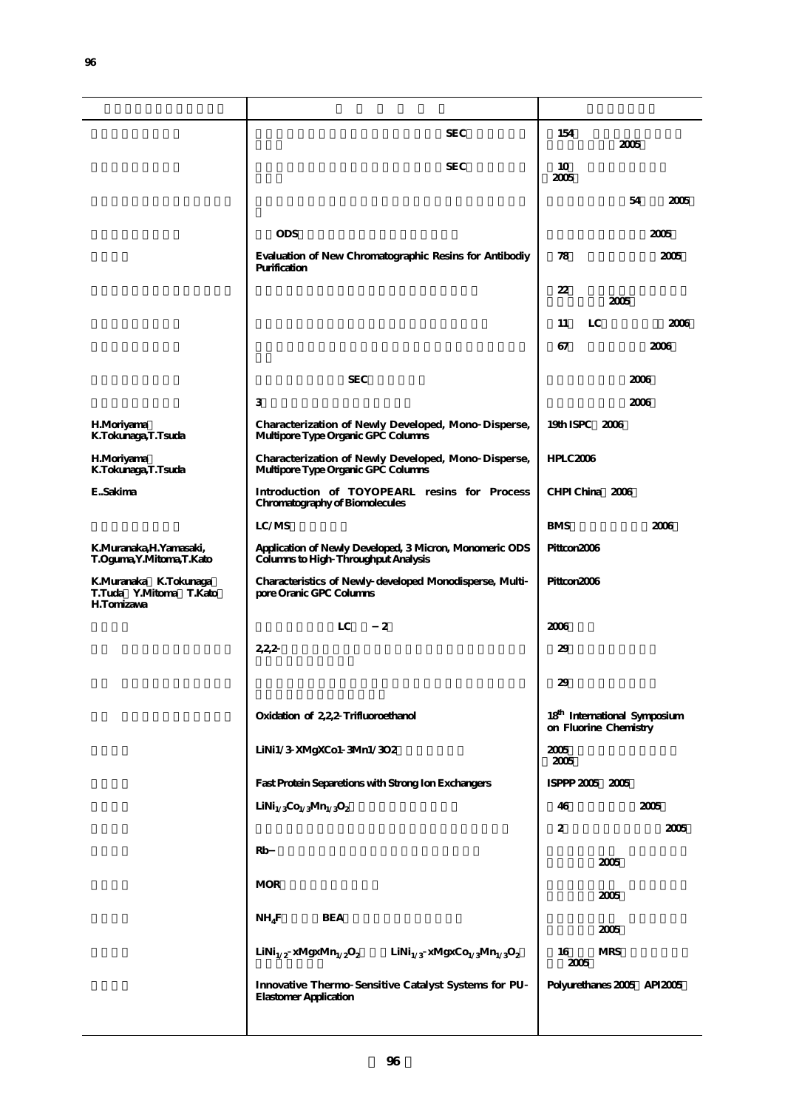|                                                                      | <b>SEC</b>                                                                                                                                       | 154<br>2005                                                       |  |  |
|----------------------------------------------------------------------|--------------------------------------------------------------------------------------------------------------------------------------------------|-------------------------------------------------------------------|--|--|
|                                                                      | <b>SEC</b>                                                                                                                                       | 10<br>2005                                                        |  |  |
|                                                                      |                                                                                                                                                  | 54<br>2005                                                        |  |  |
|                                                                      | <b>ODS</b>                                                                                                                                       | 2005                                                              |  |  |
|                                                                      | Evaluation of New Chromatographic Resins for Antibodiy<br>Purification                                                                           | 78<br>2005                                                        |  |  |
|                                                                      |                                                                                                                                                  | 22<br>2005                                                        |  |  |
|                                                                      |                                                                                                                                                  | LC<br>2006<br>11                                                  |  |  |
|                                                                      |                                                                                                                                                  | 2006<br>67                                                        |  |  |
|                                                                      | <b>SEC</b>                                                                                                                                       | 2006                                                              |  |  |
|                                                                      | 3                                                                                                                                                | 2006                                                              |  |  |
| <b>H.Moriyama</b><br>K.Tokunaga, T.Tsuda                             | Characterization of Newly Developed, Mono Disperse,<br>Multipore Type Organic GPC Columns                                                        | 19th ISPC 2006                                                    |  |  |
| <b>H.Moriyama</b><br>K.Tokunaga, T.Tsuda                             | Characterization of Newly Developed, Mono Disperse,<br>Multipore Type Organic GPC Columns                                                        | HPLC2006                                                          |  |  |
| ESakima                                                              | Introduction of TOYOPEARL resins for Process<br>Chromatography of Biomolecules                                                                   | CHPI China 2006                                                   |  |  |
|                                                                      | LC/MS                                                                                                                                            | <b>BMS</b><br>2006                                                |  |  |
| K.Muranaka,H.Yamasaki,<br>T.Oguma, Y.Mitoma, T.Kato                  | Application of Newly Developed, 3 Micron, Monomeric ODS<br><b>Columns to High Throughput Analysis</b>                                            | Pittcon2006                                                       |  |  |
| K.Muranaka K.Tokunaga<br>T.Tuda Y.Mitoma T.Kato<br><b>H.Tomizawa</b> | Characteristics of Newly developed Monodisperse, Multi<br>pore Oranic GPC Columns                                                                | Pittcon2006                                                       |  |  |
|                                                                      | LC<br>2                                                                                                                                          | 2006                                                              |  |  |
|                                                                      | 222                                                                                                                                              | 29                                                                |  |  |
|                                                                      |                                                                                                                                                  | 29                                                                |  |  |
|                                                                      | Oxidation of 2,22 Trifluoroethanol                                                                                                               | 18 <sup>th</sup> International Symposium<br>on Fluorine Chemistry |  |  |
|                                                                      | LiNi1/3 XMgXCo1 3Mn1/3O2                                                                                                                         | 2005<br>2005                                                      |  |  |
|                                                                      | Fast Protein Separetions with Strong Ion Exchangers                                                                                              | ISPPP 2005 2005                                                   |  |  |
|                                                                      | LiNi <sub>1/3</sub> Co <sub>1/3</sub> Mn <sub>1/3</sub> O <sub>2</sub>                                                                           | 46<br>2005                                                        |  |  |
|                                                                      |                                                                                                                                                  | 2<br>2005                                                         |  |  |
|                                                                      | Rb                                                                                                                                               | 2005                                                              |  |  |
|                                                                      | <b>MOR</b>                                                                                                                                       | 2005                                                              |  |  |
|                                                                      | $NH_4F$<br><b>BEA</b>                                                                                                                            | 2005                                                              |  |  |
|                                                                      | $\text{LiNi}_{1/2} \ x \text{MgxMn}_{1/2} \text{O}_2 \qquad \text{LiNi}_{1/3} \ x \text{Mgx} \text{C}_{\text{O}_1/3} \text{Mn}_{1/3} \text{O}_2$ | 16<br><b>MRS</b><br>2005                                          |  |  |
|                                                                      | Innovative Thermo Sensitive Catalyst Systems for PU<br><b>Elastomer Application</b>                                                              | Polyurethanes 2005 API2005                                        |  |  |
|                                                                      |                                                                                                                                                  |                                                                   |  |  |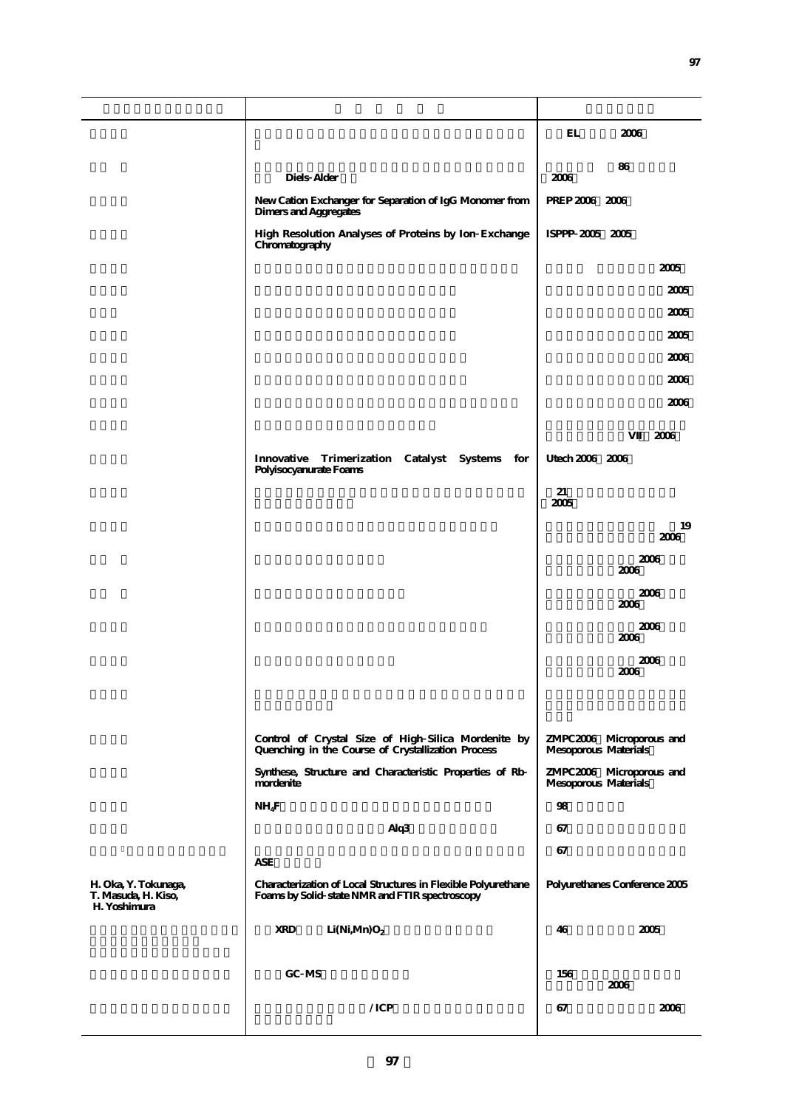|                                                             |                                                                                                                 | EL<br>2006                                                                                           |  |
|-------------------------------------------------------------|-----------------------------------------------------------------------------------------------------------------|------------------------------------------------------------------------------------------------------|--|
|                                                             |                                                                                                                 | 86                                                                                                   |  |
|                                                             | Diels Alder                                                                                                     | 2006                                                                                                 |  |
|                                                             | New Cation Exchanger for Separation of IgG Monomer from<br>Dimers and Aggregates                                | PREP 2006 2006                                                                                       |  |
|                                                             | High Resolution Analyses of Proteins by Ion Exchange<br>Chromatography                                          | ISPPP 2005 2005                                                                                      |  |
|                                                             |                                                                                                                 | 2005                                                                                                 |  |
|                                                             |                                                                                                                 | 2005                                                                                                 |  |
|                                                             |                                                                                                                 | 2005                                                                                                 |  |
|                                                             |                                                                                                                 | 2005                                                                                                 |  |
|                                                             |                                                                                                                 | 2006                                                                                                 |  |
|                                                             |                                                                                                                 | 2006                                                                                                 |  |
|                                                             |                                                                                                                 | 2006                                                                                                 |  |
|                                                             |                                                                                                                 | 2006                                                                                                 |  |
|                                                             | Innovative<br>Trimerization Catalyst Systems for<br>Polyisocyanurate Foams                                      | Utech 2006 2006                                                                                      |  |
|                                                             |                                                                                                                 | 21<br>2005                                                                                           |  |
|                                                             |                                                                                                                 | 19                                                                                                   |  |
|                                                             |                                                                                                                 | 2006<br>2006                                                                                         |  |
|                                                             |                                                                                                                 | 2006                                                                                                 |  |
|                                                             |                                                                                                                 | 2006<br>2006                                                                                         |  |
|                                                             |                                                                                                                 | 2006<br>2006                                                                                         |  |
|                                                             |                                                                                                                 | 2006<br>2006                                                                                         |  |
|                                                             |                                                                                                                 |                                                                                                      |  |
|                                                             |                                                                                                                 |                                                                                                      |  |
|                                                             | Control of Crystal Size of High Silica Mordenite by<br>Quenching in the Course of Crystallization Process       | ZMPC2006 Microporous and<br>Mesoporous Materials<br>ZMPC2006 Microporous and<br>Mesoporous Materials |  |
|                                                             | Synthese, Structure and Characteristic Properties of Rb<br>mordenite                                            |                                                                                                      |  |
|                                                             | $NH_4F$                                                                                                         | 98                                                                                                   |  |
|                                                             | Alq3                                                                                                            | 67                                                                                                   |  |
|                                                             | <b>ASE</b>                                                                                                      | 67                                                                                                   |  |
| H. Oka, Y. Tokunaga,<br>T. Masuda, H. Kiso,<br>H. Yoshimura | Characterization of Local Structures in Flexible Polyurethane<br>Foams by Solid state NMR and FTIR spectroscopy | Polyurethanes Conference 2005                                                                        |  |
|                                                             | <b>XRD</b><br>Li(Ni, Mn)O <sub>2</sub>                                                                          | 2005<br>46                                                                                           |  |
|                                                             |                                                                                                                 |                                                                                                      |  |
|                                                             | GC MS                                                                                                           | 156<br>2006                                                                                          |  |
|                                                             | /ICP                                                                                                            | 2006<br>67                                                                                           |  |